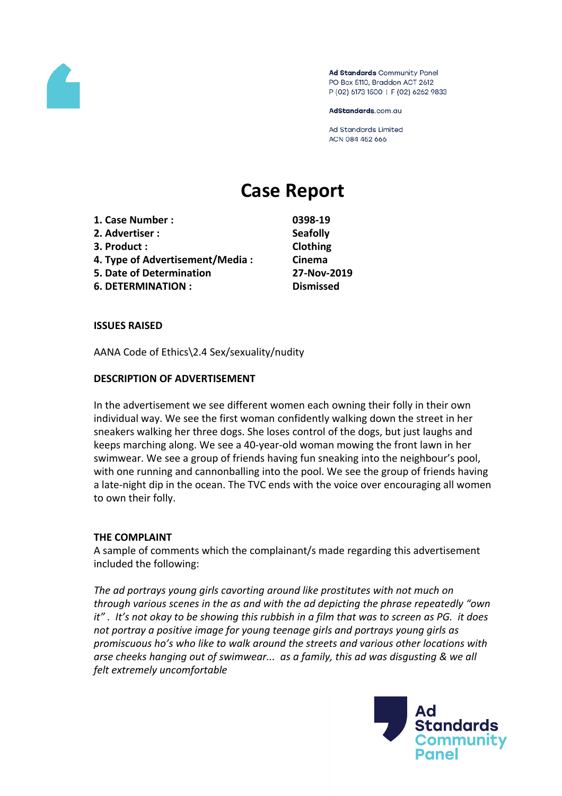

Ad Standards Community Panel PO Box 5110, Braddon ACT 2612 P (02) 6173 1500 | F (02) 6262 9833

AdStandards.com.au

Ad Standards Limited ACN 084 452 666

# **Case Report**

| 1. Case Number :                | 0398-19          |
|---------------------------------|------------------|
| 2. Advertiser :                 | <b>Seafolly</b>  |
| 3. Product :                    | Clothing         |
| 4. Type of Advertisement/Media: | Cinema           |
| <b>5. Date of Determination</b> | 27-Nov-20        |
| <b>6. DETERMINATION:</b>        | <b>Dismissed</b> |

**5. Date of Determination 27-Nov-2019**

#### **ISSUES RAISED**

AANA Code of Ethics\2.4 Sex/sexuality/nudity

#### **DESCRIPTION OF ADVERTISEMENT**

In the advertisement we see different women each owning their folly in their own individual way. We see the first woman confidently walking down the street in her sneakers walking her three dogs. She loses control of the dogs, but just laughs and keeps marching along. We see a 40-year-old woman mowing the front lawn in her swimwear. We see a group of friends having fun sneaking into the neighbour's pool, with one running and cannonballing into the pool. We see the group of friends having a late-night dip in the ocean. The TVC ends with the voice over encouraging all women to own their folly.

## **THE COMPLAINT**

A sample of comments which the complainant/s made regarding this advertisement included the following:

*The ad portrays young girls cavorting around like prostitutes with not much on through various scenes in the as and with the ad depicting the phrase repeatedly "own it" . It's not okay to be showing this rubbish in a film that was to screen as PG. it does not portray a positive image for young teenage girls and portrays young girls as promiscuous ho's who like to walk around the streets and various other locations with arse cheeks hanging out of swimwear... as a family, this ad was disgusting & we all felt extremely uncomfortable*

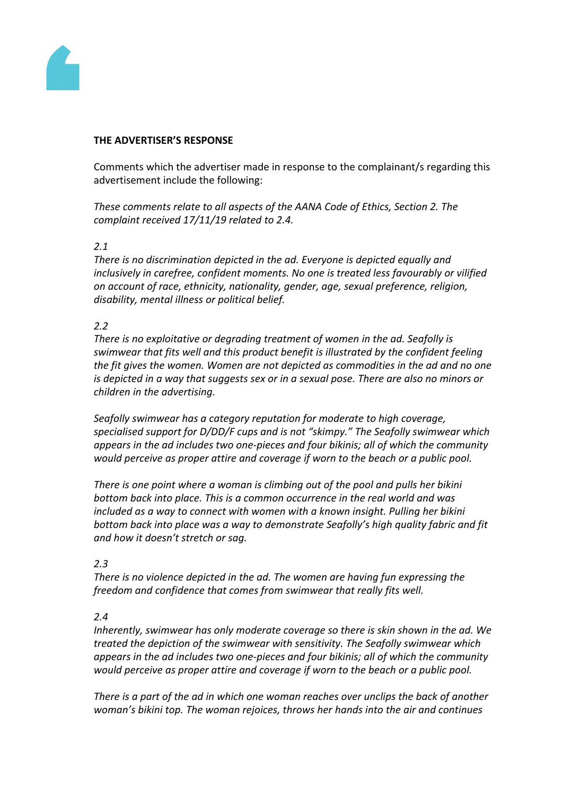

#### **THE ADVERTISER'S RESPONSE**

Comments which the advertiser made in response to the complainant/s regarding this advertisement include the following:

*These comments relate to all aspects of the AANA Code of Ethics, Section 2. The complaint received 17/11/19 related to 2.4.*

## *2.1*

*There is no discrimination depicted in the ad. Everyone is depicted equally and inclusively in carefree, confident moments. No one is treated less favourably or vilified on account of race, ethnicity, nationality, gender, age, sexual preference, religion, disability, mental illness or political belief.*

## *2.2*

*There is no exploitative or degrading treatment of women in the ad. Seafolly is swimwear that fits well and this product benefit is illustrated by the confident feeling the fit gives the women. Women are not depicted as commodities in the ad and no one is depicted in a way that suggests sex or in a sexual pose. There are also no minors or children in the advertising.*

*Seafolly swimwear has a category reputation for moderate to high coverage, specialised support for D/DD/F cups and is not "skimpy." The Seafolly swimwear which appears in the ad includes two one-pieces and four bikinis; all of which the community would perceive as proper attire and coverage if worn to the beach or a public pool.*

*There is one point where a woman is climbing out of the pool and pulls her bikini bottom back into place. This is a common occurrence in the real world and was included as a way to connect with women with a known insight. Pulling her bikini bottom back into place was a way to demonstrate Seafolly's high quality fabric and fit and how it doesn't stretch or sag.*

## *2.3*

*There is no violence depicted in the ad. The women are having fun expressing the freedom and confidence that comes from swimwear that really fits well.*

## *2.4*

*Inherently, swimwear has only moderate coverage so there is skin shown in the ad. We treated the depiction of the swimwear with sensitivity. The Seafolly swimwear which appears in the ad includes two one-pieces and four bikinis; all of which the community would perceive as proper attire and coverage if worn to the beach or a public pool.*

*There is a part of the ad in which one woman reaches over unclips the back of another woman's bikini top. The woman rejoices, throws her hands into the air and continues*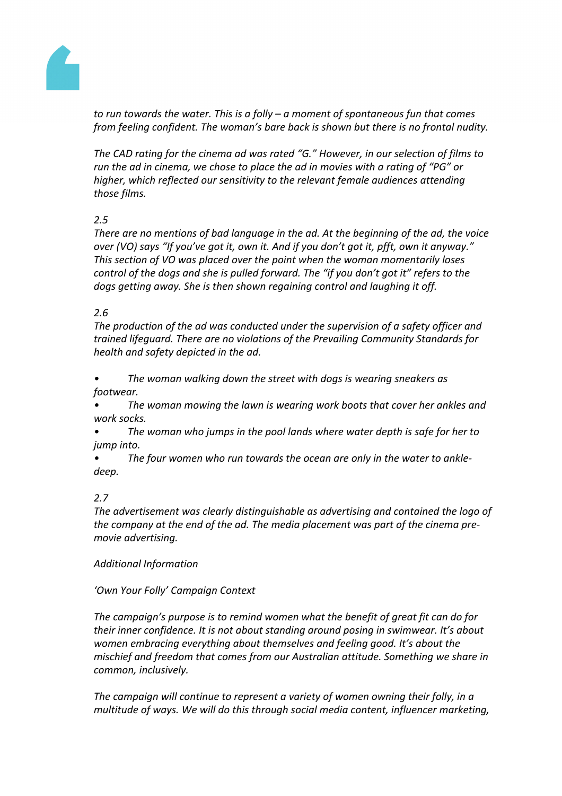

*to run towards the water. This is a folly – a moment of spontaneous fun that comes from feeling confident. The woman's bare back is shown but there is no frontal nudity.*

*The CAD rating for the cinema ad was rated "G." However, in our selection of films to run the ad in cinema, we chose to place the ad in movies with a rating of "PG" or higher, which reflected our sensitivity to the relevant female audiences attending those films.*

# *2.5*

*There are no mentions of bad language in the ad. At the beginning of the ad, the voice over (VO) says "If you've got it, own it. And if you don't got it, pfft, own it anyway." This section of VO was placed over the point when the woman momentarily loses control of the dogs and she is pulled forward. The "if you don't got it" refers to the dogs getting away. She is then shown regaining control and laughing it off.*

## *2.6*

*The production of the ad was conducted under the supervision of a safety officer and trained lifeguard. There are no violations of the Prevailing Community Standards for health and safety depicted in the ad.*

*• The woman walking down the street with dogs is wearing sneakers as footwear.*

*• The woman mowing the lawn is wearing work boots that cover her ankles and work socks.*

*• The woman who jumps in the pool lands where water depth is safe for her to jump into.*

*• The four women who run towards the ocean are only in the water to ankledeep.*

# *2.7*

*The advertisement was clearly distinguishable as advertising and contained the logo of the company at the end of the ad. The media placement was part of the cinema premovie advertising.*

## *Additional Information*

# *'Own Your Folly' Campaign Context*

*The campaign's purpose is to remind women what the benefit of great fit can do for their inner confidence. It is not about standing around posing in swimwear. It's about women embracing everything about themselves and feeling good. It's about the mischief and freedom that comes from our Australian attitude. Something we share in common, inclusively.*

*The campaign will continue to represent a variety of women owning their folly, in a multitude of ways. We will do this through social media content, influencer marketing,*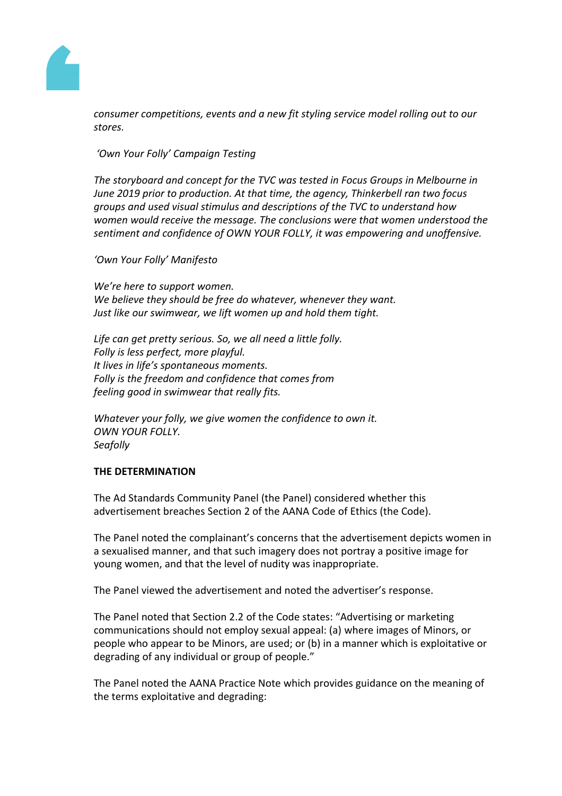

*consumer competitions, events and a new fit styling service model rolling out to our stores.*

*'Own Your Folly' Campaign Testing*

*The storyboard and concept for the TVC was tested in Focus Groups in Melbourne in June 2019 prior to production. At that time, the agency, Thinkerbell ran two focus groups and used visual stimulus and descriptions of the TVC to understand how women would receive the message. The conclusions were that women understood the sentiment and confidence of OWN YOUR FOLLY, it was empowering and unoffensive.*

*'Own Your Folly' Manifesto*

*We're here to support women. We believe they should be free do whatever, whenever they want. Just like our swimwear, we lift women up and hold them tight.*

*Life can get pretty serious. So, we all need a little folly. Folly is less perfect, more playful. It lives in life's spontaneous moments. Folly is the freedom and confidence that comes from feeling good in swimwear that really fits.*

*Whatever your folly, we give women the confidence to own it. OWN YOUR FOLLY. Seafolly*

## **THE DETERMINATION**

The Ad Standards Community Panel (the Panel) considered whether this advertisement breaches Section 2 of the AANA Code of Ethics (the Code).

The Panel noted the complainant's concerns that the advertisement depicts women in a sexualised manner, and that such imagery does not portray a positive image for young women, and that the level of nudity was inappropriate.

The Panel viewed the advertisement and noted the advertiser's response.

The Panel noted that Section 2.2 of the Code states: "Advertising or marketing communications should not employ sexual appeal: (a) where images of Minors, or people who appear to be Minors, are used; or (b) in a manner which is exploitative or degrading of any individual or group of people."

The Panel noted the AANA Practice Note which provides guidance on the meaning of the terms exploitative and degrading: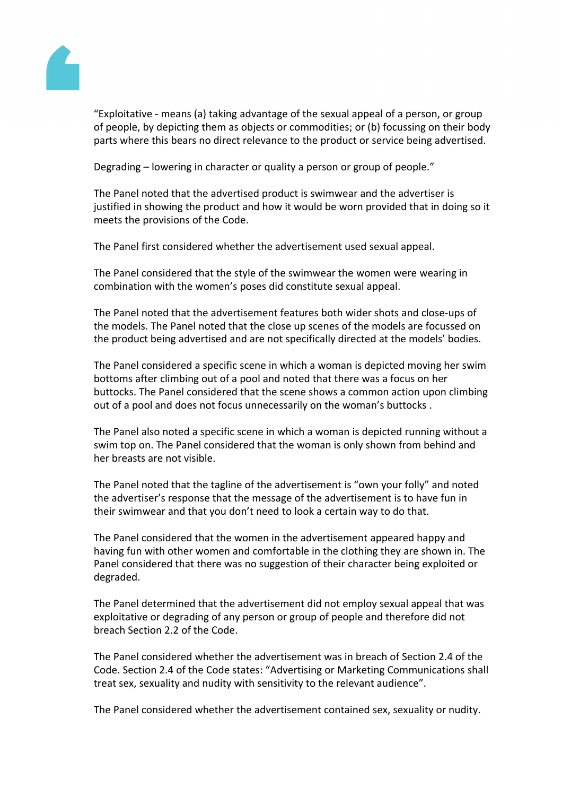

"Exploitative - means (a) taking advantage of the sexual appeal of a person, or group of people, by depicting them as objects or commodities; or (b) focussing on their body parts where this bears no direct relevance to the product or service being advertised.

Degrading – lowering in character or quality a person or group of people."

The Panel noted that the advertised product is swimwear and the advertiser is justified in showing the product and how it would be worn provided that in doing so it meets the provisions of the Code.

The Panel first considered whether the advertisement used sexual appeal.

The Panel considered that the style of the swimwear the women were wearing in combination with the women's poses did constitute sexual appeal.

The Panel noted that the advertisement features both wider shots and close-ups of the models. The Panel noted that the close up scenes of the models are focussed on the product being advertised and are not specifically directed at the models' bodies.

The Panel considered a specific scene in which a woman is depicted moving her swim bottoms after climbing out of a pool and noted that there was a focus on her buttocks. The Panel considered that the scene shows a common action upon climbing out of a pool and does not focus unnecessarily on the woman's buttocks .

The Panel also noted a specific scene in which a woman is depicted running without a swim top on. The Panel considered that the woman is only shown from behind and her breasts are not visible.

The Panel noted that the tagline of the advertisement is "own your folly" and noted the advertiser's response that the message of the advertisement is to have fun in their swimwear and that you don't need to look a certain way to do that.

The Panel considered that the women in the advertisement appeared happy and having fun with other women and comfortable in the clothing they are shown in. The Panel considered that there was no suggestion of their character being exploited or degraded.

The Panel determined that the advertisement did not employ sexual appeal that was exploitative or degrading of any person or group of people and therefore did not breach Section 2.2 of the Code.

The Panel considered whether the advertisement was in breach of Section 2.4 of the Code. Section 2.4 of the Code states: "Advertising or Marketing Communications shall treat sex, sexuality and nudity with sensitivity to the relevant audience".

The Panel considered whether the advertisement contained sex, sexuality or nudity.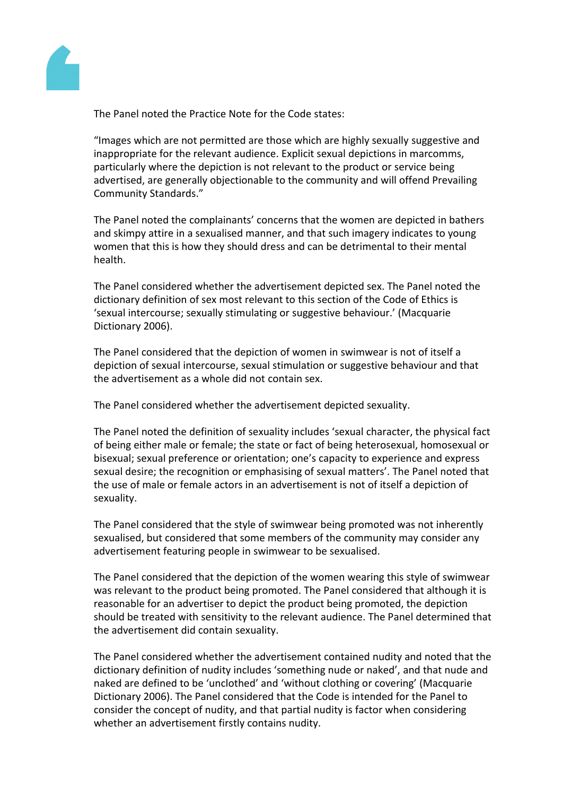

The Panel noted the Practice Note for the Code states:

"Images which are not permitted are those which are highly sexually suggestive and inappropriate for the relevant audience. Explicit sexual depictions in marcomms, particularly where the depiction is not relevant to the product or service being advertised, are generally objectionable to the community and will offend Prevailing Community Standards."

The Panel noted the complainants' concerns that the women are depicted in bathers and skimpy attire in a sexualised manner, and that such imagery indicates to young women that this is how they should dress and can be detrimental to their mental health.

The Panel considered whether the advertisement depicted sex. The Panel noted the dictionary definition of sex most relevant to this section of the Code of Ethics is 'sexual intercourse; sexually stimulating or suggestive behaviour.' (Macquarie Dictionary 2006).

The Panel considered that the depiction of women in swimwear is not of itself a depiction of sexual intercourse, sexual stimulation or suggestive behaviour and that the advertisement as a whole did not contain sex.

The Panel considered whether the advertisement depicted sexuality.

The Panel noted the definition of sexuality includes 'sexual character, the physical fact of being either male or female; the state or fact of being heterosexual, homosexual or bisexual; sexual preference or orientation; one's capacity to experience and express sexual desire; the recognition or emphasising of sexual matters'. The Panel noted that the use of male or female actors in an advertisement is not of itself a depiction of sexuality.

The Panel considered that the style of swimwear being promoted was not inherently sexualised, but considered that some members of the community may consider any advertisement featuring people in swimwear to be sexualised.

The Panel considered that the depiction of the women wearing this style of swimwear was relevant to the product being promoted. The Panel considered that although it is reasonable for an advertiser to depict the product being promoted, the depiction should be treated with sensitivity to the relevant audience. The Panel determined that the advertisement did contain sexuality.

The Panel considered whether the advertisement contained nudity and noted that the dictionary definition of nudity includes 'something nude or naked', and that nude and naked are defined to be 'unclothed' and 'without clothing or covering' (Macquarie Dictionary 2006). The Panel considered that the Code is intended for the Panel to consider the concept of nudity, and that partial nudity is factor when considering whether an advertisement firstly contains nudity.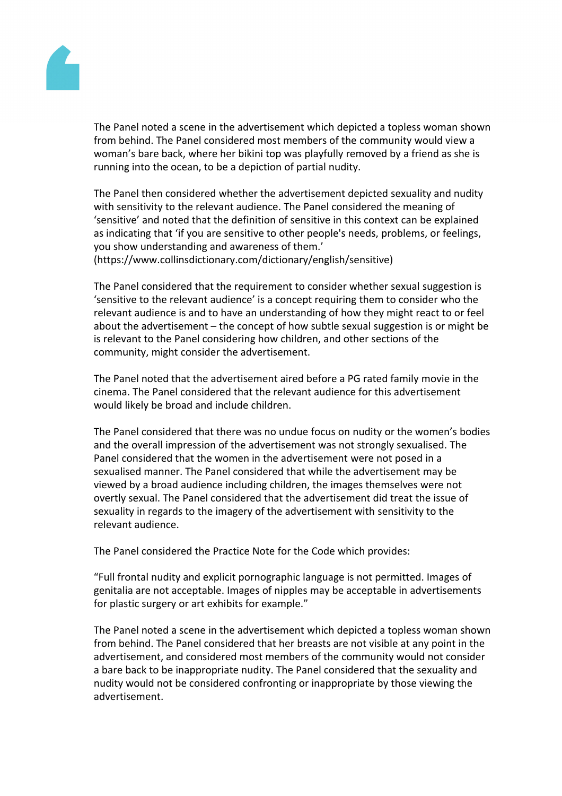

The Panel noted a scene in the advertisement which depicted a topless woman shown from behind. The Panel considered most members of the community would view a woman's bare back, where her bikini top was playfully removed by a friend as she is running into the ocean, to be a depiction of partial nudity.

The Panel then considered whether the advertisement depicted sexuality and nudity with sensitivity to the relevant audience. The Panel considered the meaning of 'sensitive' and noted that the definition of sensitive in this context can be explained as indicating that 'if you are sensitive to other people's needs, problems, or feelings, you show understanding and awareness of them.'

(https://www.collinsdictionary.com/dictionary/english/sensitive)

The Panel considered that the requirement to consider whether sexual suggestion is 'sensitive to the relevant audience' is a concept requiring them to consider who the relevant audience is and to have an understanding of how they might react to or feel about the advertisement – the concept of how subtle sexual suggestion is or might be is relevant to the Panel considering how children, and other sections of the community, might consider the advertisement.

The Panel noted that the advertisement aired before a PG rated family movie in the cinema. The Panel considered that the relevant audience for this advertisement would likely be broad and include children.

The Panel considered that there was no undue focus on nudity or the women's bodies and the overall impression of the advertisement was not strongly sexualised. The Panel considered that the women in the advertisement were not posed in a sexualised manner. The Panel considered that while the advertisement may be viewed by a broad audience including children, the images themselves were not overtly sexual. The Panel considered that the advertisement did treat the issue of sexuality in regards to the imagery of the advertisement with sensitivity to the relevant audience.

The Panel considered the Practice Note for the Code which provides:

"Full frontal nudity and explicit pornographic language is not permitted. Images of genitalia are not acceptable. Images of nipples may be acceptable in advertisements for plastic surgery or art exhibits for example."

The Panel noted a scene in the advertisement which depicted a topless woman shown from behind. The Panel considered that her breasts are not visible at any point in the advertisement, and considered most members of the community would not consider a bare back to be inappropriate nudity. The Panel considered that the sexuality and nudity would not be considered confronting or inappropriate by those viewing the advertisement.